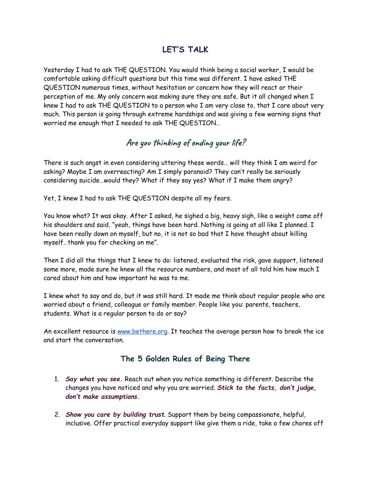## **LET'S TALK**

Yesterday I had to ask THE QUESTION. You would think being a social worker, I would be comfortable asking difficult questions but this time was different. I have asked THE QUESTION numerous times, without hesitation or concern how they will react or their perception of me. My only concern was making sure they are safe. But it all changed when I knew I had to ask THE QUESTION to a person who I am very close to, that I care about very much. This person is going through extreme hardships and was giving a few warning signs that worried me enough that I needed to ask THE QUESTION…

## **Are you thinking of ending your life?**

There is such angst in even considering uttering these words… will they think I am weird for asking? Maybe I am overreacting? Am I simply paranoid? They can't really be seriously considering suicide…would they? What if they say yes? What if I make them angry?

Yet, I knew I had to ask THE QUESTION despite all my fears.

You know what? It was okay. After I asked, he sighed a big, heavy sigh, like a weight came off his shoulders and said, "yeah, things have been hard. Nothing is going at all like I planned. I have been really down on myself, but no, it is not so bad that I have thought about killing myself…thank you for checking on me".

Then I did all the things that I knew to do: listened, evaluated the risk, gave support, listened some more, made sure he knew all the resource numbers, and most of all told him how much I cared about him and how important he was to me.

I knew what to say and do, but it was still hard. It made me think about regular people who are worried about a friend, colleague or family member. People like you: parents, teachers, students. What is a regular person to do or say?

An excellent resource is [www.bethere.org](https://bethere.org/Say-What-You-See). It teaches the average person how to break the ice and start the conversation.

## **The 5 Golden Rules of Being There**

- 1. *Say what you see.* Reach out when you notice something is different. Describe the changes you have noticed and why you are worried. *Stick to the facts, don't judge, don't make assumptions.*
- 2. *Show you care by building trust*. Support them by being compassionate, helpful, inclusive. Offer practical everyday support like give them a ride, take a few chores off